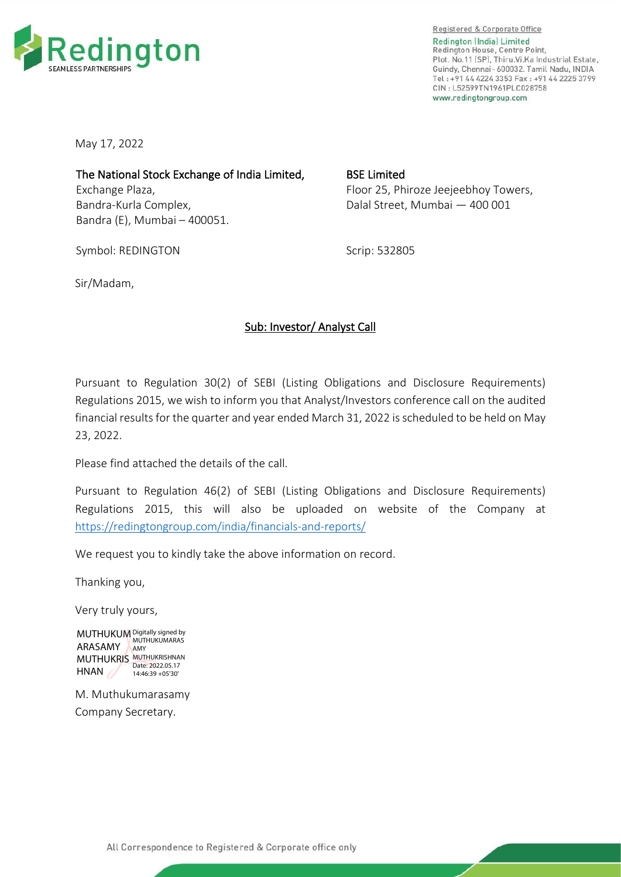

Registered & Corporate Office Redington (India) Limited Redington House, Centre Point, Plot. No.11 [SP]. Thiru.Vi.Ka Industrial Estate. Guindy, Chennai- 600032. Tamil Nadu, INDIA Tel: +91 44 4224 3353 Fax: +91 44 2225 3799 CIN: L52599TN1961PLC028758 www.redingtongroup.com

May 17, 2022

The National Stock Exchange of India Limited, Exchange Plaza, Bandra-Kurla Complex, Bandra (E), Mumbai – 400051.

BSE Limited Floor 25, Phiroze Jeejeebhoy Towers, Dalal Street, Mumbai — 400 001

Symbol: REDINGTON

Scrip: 532805

Sir/Madam,

## Sub: Investor/ Analyst Call

Pursuant to Regulation 30(2) of SEBI (Listing Obligations and Disclosure Requirements) Regulations 2015, we wish to inform you that Analyst/Investors conference call on the audited financial results for the quarter and year ended March 31, 2022 is scheduled to be held on May 23, 2022.

Please find attached the details of the call.

Pursuant to Regulation 46(2) of SEBI (Listing Obligations and Disclosure Requirements) Regulations 2015, this will also be uploaded on website of the Company at <https://redingtongroup.com/india/financials-and-reports/>

We request you to kindly take the above information on record.

Thanking you,

Very truly yours,

MUTHUKUM Digitally signed by ARASAMY AMY MUTHUKRIS MUTHUKRISHNAN HNAN  $\mathscr{A}$ Date: 2022.05.17 14:46:39 +05'30'

M. Muthukumarasamy Company Secretary.

All Correspondence to Registered & Corporate office only